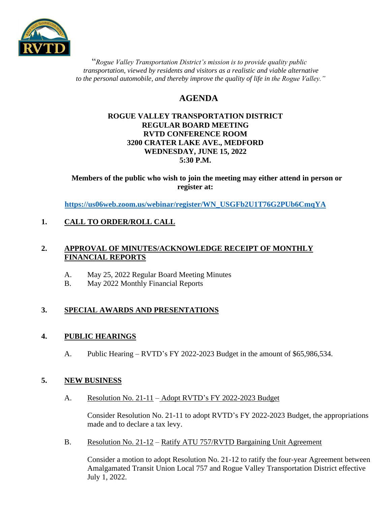

 "*Rogue Valley Transportation District's mission is to provide quality public transportation, viewed by residents and visitors as a realistic and viable alternative* to the personal automobile, and thereby improve the quality of life in the Rogue Valley."

# **AGENDA**

#### **ROGUE VALLEY TRANSPORTATION DISTRICT REGULAR BOARD MEETING RVTD CONFERENCE ROOM 3200 CRATER LAKE AVE., MEDFORD WEDNESDAY, JUNE 15, 2022 5:30 P.M.**

**Members of the public who wish to join the meeting may either attend in person or register at:**

**[https://us06web.zoom.us/webinar/register/WN\\_USGFb2U1T76G2PUb6CmqYA](https://us06web.zoom.us/webinar/register/WN_USGFb2U1T76G2PUb6CmqYA)**

# **1. CALL TO ORDER/ROLL CALL**

## **2. APPROVAL OF MINUTES/ACKNOWLEDGE RECEIPT OF MONTHLY FINANCIAL REPORTS**

- A. May 25, 2022 Regular Board Meeting Minutes
- B. May 2022 Monthly Financial Reports

# **3. SPECIAL AWARDS AND PRESENTATIONS**

# **4. PUBLIC HEARINGS**

A. Public Hearing – RVTD's FY 2022-2023 Budget in the amount of \$65,986,534.

# **5. NEW BUSINESS**

A. Resolution No. 21-11 – Adopt RVTD's FY 2022-2023 Budget

Consider Resolution No. 21-11 to adopt RVTD's FY 2022-2023 Budget, the appropriations made and to declare a tax levy.

B. Resolution No. 21-12 – Ratify ATU 757/RVTD Bargaining Unit Agreement

Consider a motion to adopt Resolution No. 21-12 to ratify the four-year Agreement between Amalgamated Transit Union Local 757 and Rogue Valley Transportation District effective July 1, 2022.